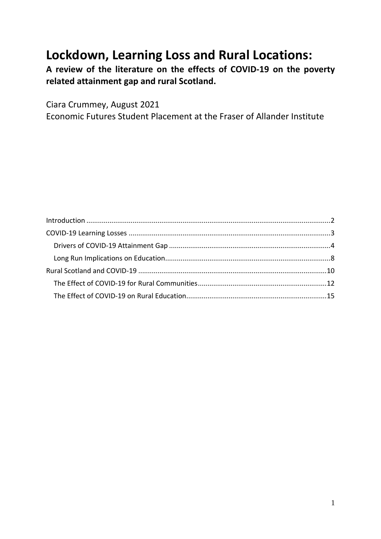# **Lockdown, Learning Loss and Rural Locations:**

**A review of the literature on the effects of COVID-19 on the poverty related attainment gap and rural Scotland.** 

Ciara Crummey, August 2021

Economic Futures Student Placement at the Fraser of Allander Institute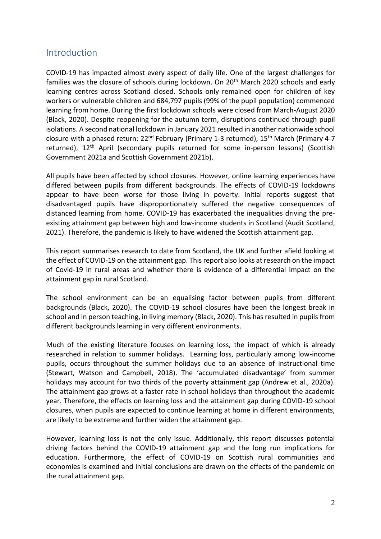# <span id="page-1-0"></span>Introduction

COVID-19 has impacted almost every aspect of daily life. One of the largest challenges for families was the closure of schools during lockdown. On 20<sup>th</sup> March 2020 schools and early learning centres across Scotland closed. Schools only remained open for children of key workers or vulnerable children and 684,797 pupils (99% of the pupil population) commenced learning from home. During the first lockdown schools were closed from March-August 2020 (Black, 2020). Despite reopening for the autumn term, disruptions continued through pupil isolations. A second national lockdown in January 2021 resulted in another nationwide school closure with a phased return: 22<sup>nd</sup> February (Primary 1-3 returned), 15<sup>th</sup> March (Primary 4-7 returned), 12<sup>th</sup> April (secondary pupils returned for some in-person lessons) (Scottish Government 2021a and Scottish Government 2021b).

All pupils have been affected by school closures. However, online learning experiences have differed between pupils from different backgrounds. The effects of COVID-19 lockdowns appear to have been worse for those living in poverty. Initial reports suggest that disadvantaged pupils have disproportionately suffered the negative consequences of distanced learning from home. COVID-19 has exacerbated the inequalities driving the preexisting attainment gap between high and low-income students in Scotland (Audit Scotland, 2021). Therefore, the pandemic is likely to have widened the Scottish attainment gap.

This report summarises research to date from Scotland, the UK and further afield looking at the effect of COVID-19 on the attainment gap. This report also looks at research on the impact of Covid-19 in rural areas and whether there is evidence of a differential impact on the attainment gap in rural Scotland.

The school environment can be an equalising factor between pupils from different backgrounds (Black, 2020). The COVID-19 school closures have been the longest break in school and in person teaching, in living memory (Black, 2020). This has resulted in pupils from different backgrounds learning in very different environments.

Much of the existing literature focuses on learning loss, the impact of which is already researched in relation to summer holidays. Learning loss, particularly among low-income pupils, occurs throughout the summer holidays due to an absence of instructional time (Stewart, Watson and Campbell, 2018). The 'accumulated disadvantage' from summer holidays may account for two thirds of the poverty attainment gap (Andrew et al., 2020a). The attainment gap grows at a faster rate in school holidays than throughout the academic year. Therefore, the effects on learning loss and the attainment gap during COVID-19 school closures, when pupils are expected to continue learning at home in different environments, are likely to be extreme and further widen the attainment gap.

However, learning loss is not the only issue. Additionally, this report discusses potential driving factors behind the COVID-19 attainment gap and the long run implications for education. Furthermore, the effect of COVID-19 on Scottish rural communities and economies is examined and initial conclusions are drawn on the effects of the pandemic on the rural attainment gap.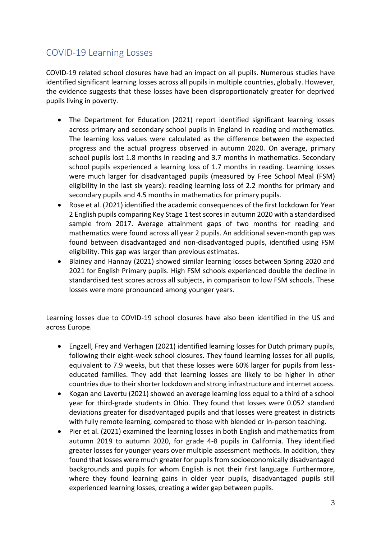# <span id="page-2-0"></span>COVID-19 Learning Losses

COVID-19 related school closures have had an impact on all pupils. Numerous studies have identified significant learning losses across all pupils in multiple countries, globally. However, the evidence suggests that these losses have been disproportionately greater for deprived pupils living in poverty.

- The Department for Education (2021) report identified significant learning losses across primary and secondary school pupils in England in reading and mathematics. The learning loss values were calculated as the difference between the expected progress and the actual progress observed in autumn 2020. On average, primary school pupils lost 1.8 months in reading and 3.7 months in mathematics. Secondary school pupils experienced a learning loss of 1.7 months in reading. Learning losses were much larger for disadvantaged pupils (measured by Free School Meal (FSM) eligibility in the last six years): reading learning loss of 2.2 months for primary and secondary pupils and 4.5 months in mathematics for primary pupils.
- Rose et al. (2021) identified the academic consequences of the first lockdown for Year 2 English pupils comparing Key Stage 1 test scores in autumn 2020 with a standardised sample from 2017. Average attainment gaps of two months for reading and mathematics were found across all year 2 pupils. An additional seven-month gap was found between disadvantaged and non-disadvantaged pupils, identified using FSM eligibility. This gap was larger than previous estimates.
- Blainey and Hannay (2021) showed similar learning losses between Spring 2020 and 2021 for English Primary pupils. High FSM schools experienced double the decline in standardised test scores across all subjects, in comparison to low FSM schools. These losses were more pronounced among younger years.

Learning losses due to COVID-19 school closures have also been identified in the US and across Europe.

- Engzell, Frey and Verhagen (2021) identified learning losses for Dutch primary pupils, following their eight-week school closures. They found learning losses for all pupils, equivalent to 7.9 weeks, but that these losses were 60% larger for pupils from lesseducated families. They add that learning losses are likely to be higher in other countries due to their shorter lockdown and strong infrastructure and internet access.
- Kogan and Lavertu (2021) showed an average learning loss equal to a third of a school year for third-grade students in Ohio. They found that losses were 0.052 standard deviations greater for disadvantaged pupils and that losses were greatest in districts with fully remote learning, compared to those with blended or in-person teaching.
- Pier et al. (2021) examined the learning losses in both English and mathematics from autumn 2019 to autumn 2020, for grade 4-8 pupils in California. They identified greater losses for younger years over multiple assessment methods. In addition, they found that losses were much greater for pupils from socioeconomically disadvantaged backgrounds and pupils for whom English is not their first language. Furthermore, where they found learning gains in older year pupils, disadvantaged pupils still experienced learning losses, creating a wider gap between pupils.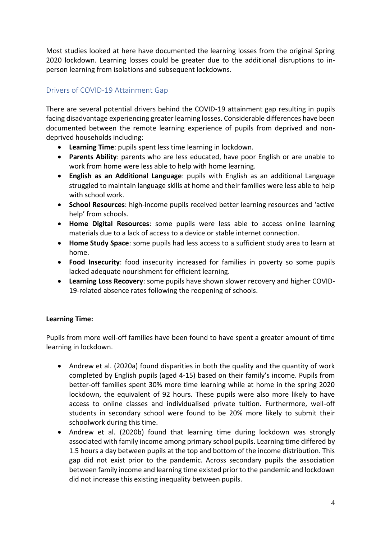Most studies looked at here have documented the learning losses from the original Spring 2020 lockdown. Learning losses could be greater due to the additional disruptions to inperson learning from isolations and subsequent lockdowns.

## <span id="page-3-0"></span>Drivers of COVID-19 Attainment Gap

There are several potential drivers behind the COVID-19 attainment gap resulting in pupils facing disadvantage experiencing greater learning losses. Considerable differences have been documented between the remote learning experience of pupils from deprived and nondeprived households including:

- **Learning Time**: pupils spent less time learning in lockdown.
- **Parents Ability**: parents who are less educated, have poor English or are unable to work from home were less able to help with home learning.
- **English as an Additional Language**: pupils with English as an additional Language struggled to maintain language skills at home and their families were less able to help with school work.
- **School Resources**: high-income pupils received better learning resources and 'active help' from schools.
- **Home Digital Resources**: some pupils were less able to access online learning materials due to a lack of access to a device or stable internet connection.
- **Home Study Space**: some pupils had less access to a sufficient study area to learn at home.
- **Food Insecurity**: food insecurity increased for families in poverty so some pupils lacked adequate nourishment for efficient learning.
- **Learning Loss Recovery**: some pupils have shown slower recovery and higher COVID-19-related absence rates following the reopening of schools.

#### **Learning Time:**

Pupils from more well-off families have been found to have spent a greater amount of time learning in lockdown.

- Andrew et al. (2020a) found disparities in both the quality and the quantity of work completed by English pupils (aged 4-15) based on their family's income. Pupils from better-off families spent 30% more time learning while at home in the spring 2020 lockdown, the equivalent of 92 hours. These pupils were also more likely to have access to online classes and individualised private tuition. Furthermore, well-off students in secondary school were found to be 20% more likely to submit their schoolwork during this time.
- Andrew et al. (2020b) found that learning time during lockdown was strongly associated with family income among primary school pupils. Learning time differed by 1.5 hours a day between pupils at the top and bottom of the income distribution. This gap did not exist prior to the pandemic. Across secondary pupils the association between family income and learning time existed prior to the pandemic and lockdown did not increase this existing inequality between pupils.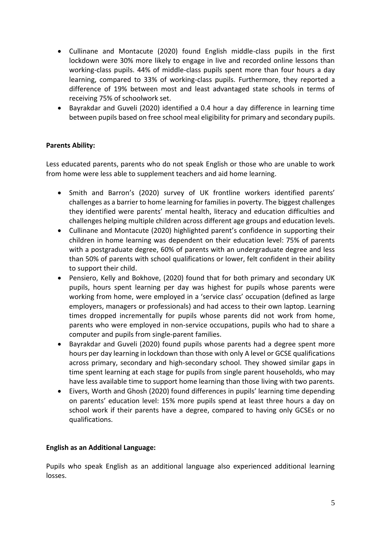- Cullinane and Montacute (2020) found English middle-class pupils in the first lockdown were 30% more likely to engage in live and recorded online lessons than working-class pupils. 44% of middle-class pupils spent more than four hours a day learning, compared to 33% of working-class pupils. Furthermore, they reported a difference of 19% between most and least advantaged state schools in terms of receiving 75% of schoolwork set.
- Bayrakdar and Guveli (2020) identified a 0.4 hour a day difference in learning time between pupils based on free school meal eligibility for primary and secondary pupils.

#### **Parents Ability:**

Less educated parents, parents who do not speak English or those who are unable to work from home were less able to supplement teachers and aid home learning.

- Smith and Barron's (2020) survey of UK frontline workers identified parents' challenges as a barrier to home learning for families in poverty. The biggest challenges they identified were parents' mental health, literacy and education difficulties and challenges helping multiple children across different age groups and education levels.
- Cullinane and Montacute (2020) highlighted parent's confidence in supporting their children in home learning was dependent on their education level: 75% of parents with a postgraduate degree, 60% of parents with an undergraduate degree and less than 50% of parents with school qualifications or lower, felt confident in their ability to support their child.
- Pensiero, Kelly and Bokhove, (2020) found that for both primary and secondary UK pupils, hours spent learning per day was highest for pupils whose parents were working from home, were employed in a 'service class' occupation (defined as large employers, managers or professionals) and had access to their own laptop. Learning times dropped incrementally for pupils whose parents did not work from home, parents who were employed in non-service occupations, pupils who had to share a computer and pupils from single-parent families.
- Bayrakdar and Guveli (2020) found pupils whose parents had a degree spent more hours per day learning in lockdown than those with only A level or GCSE qualifications across primary, secondary and high-secondary school. They showed similar gaps in time spent learning at each stage for pupils from single parent households, who may have less available time to support home learning than those living with two parents.
- Eivers, Worth and Ghosh (2020) found differences in pupils' learning time depending on parents' education level: 15% more pupils spend at least three hours a day on school work if their parents have a degree, compared to having only GCSEs or no qualifications.

#### **English as an Additional Language:**

Pupils who speak English as an additional language also experienced additional learning losses.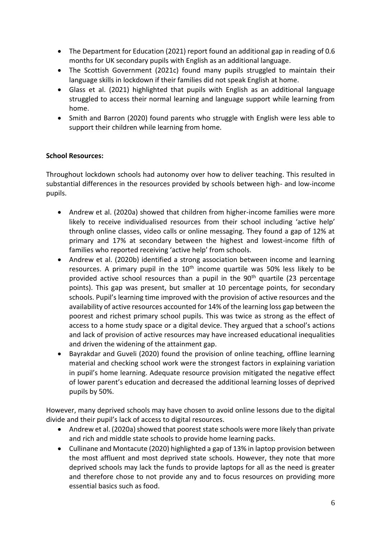- The Department for Education (2021) report found an additional gap in reading of 0.6 months for UK secondary pupils with English as an additional language.
- The Scottish Government (2021c) found many pupils struggled to maintain their language skills in lockdown if their families did not speak English at home.
- Glass et al. (2021) highlighted that pupils with English as an additional language struggled to access their normal learning and language support while learning from home.
- Smith and Barron (2020) found parents who struggle with English were less able to support their children while learning from home.

#### **School Resources:**

Throughout lockdown schools had autonomy over how to deliver teaching. This resulted in substantial differences in the resources provided by schools between high- and low-income pupils.

- Andrew et al. (2020a) showed that children from higher-income families were more likely to receive individualised resources from their school including 'active help' through online classes, video calls or online messaging. They found a gap of 12% at primary and 17% at secondary between the highest and lowest-income fifth of families who reported receiving 'active help' from schools.
- Andrew et al. (2020b) identified a strong association between income and learning resources. A primary pupil in the  $10<sup>th</sup>$  income quartile was 50% less likely to be provided active school resources than a pupil in the  $90<sup>th</sup>$  quartile (23 percentage points). This gap was present, but smaller at 10 percentage points, for secondary schools. Pupil's learning time improved with the provision of active resources and the availability of active resources accounted for 14% of the learning loss gap between the poorest and richest primary school pupils. This was twice as strong as the effect of access to a home study space or a digital device. They argued that a school's actions and lack of provision of active resources may have increased educational inequalities and driven the widening of the attainment gap.
- Bayrakdar and Guveli (2020) found the provision of online teaching, offline learning material and checking school work were the strongest factors in explaining variation in pupil's home learning. Adequate resource provision mitigated the negative effect of lower parent's education and decreased the additional learning losses of deprived pupils by 50%.

However, many deprived schools may have chosen to avoid online lessons due to the digital divide and their pupil's lack of access to digital resources.

- Andrew et al. (2020a) showed that poorest state schools were more likely than private and rich and middle state schools to provide home learning packs.
- Cullinane and Montacute (2020) highlighted a gap of 13% in laptop provision between the most affluent and most deprived state schools. However, they note that more deprived schools may lack the funds to provide laptops for all as the need is greater and therefore chose to not provide any and to focus resources on providing more essential basics such as food.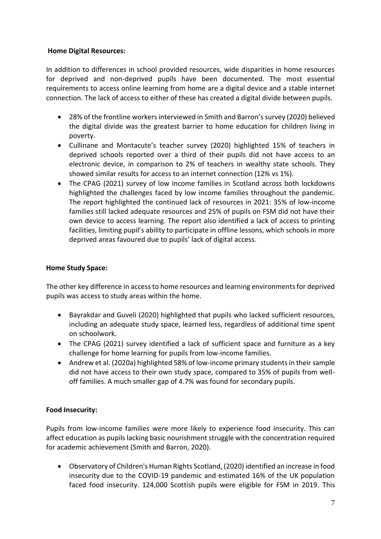#### **Home Digital Resources:**

In addition to differences in school provided resources, wide disparities in home resources for deprived and non-deprived pupils have been documented. The most essential requirements to access online learning from home are a digital device and a stable internet connection. The lack of access to either of these has created a digital divide between pupils.

- 28% of the frontline workers interviewed in Smith and Barron's survey (2020) believed the digital divide was the greatest barrier to home education for children living in poverty.
- Cullinane and Montacute's teacher survey (2020) highlighted 15% of teachers in deprived schools reported over a third of their pupils did not have access to an electronic device, in comparison to 2% of teachers in wealthy state schools. They showed similar results for access to an internet connection (12% vs 1%).
- The CPAG (2021) survey of low income families in Scotland across both lockdowns highlighted the challenges faced by low income families throughout the pandemic. The report highlighted the continued lack of resources in 2021: 35% of low-income families still lacked adequate resources and 25% of pupils on FSM did not have their own device to access learning. The report also identified a lack of access to printing facilities, limiting pupil's ability to participate in offline lessons, which schools in more deprived areas favoured due to pupils' lack of digital access.

#### **Home Study Space:**

The other key difference in access to home resources and learning environments for deprived pupils was access to study areas within the home.

- Bayrakdar and Guveli (2020) highlighted that pupils who lacked sufficient resources, including an adequate study space, learned less, regardless of additional time spent on schoolwork.
- The CPAG (2021) survey identified a lack of sufficient space and furniture as a key challenge for home learning for pupils from low-income families.
- Andrew et al. (2020a) highlighted 58% of low-income primary students in their sample did not have access to their own study space, compared to 35% of pupils from welloff families. A much smaller gap of 4.7% was found for secondary pupils.

## **Food Insecurity:**

Pupils from low-income families were more likely to experience food insecurity. This can affect education as pupils lacking basic nourishment struggle with the concentration required for academic achievement (Smith and Barron, 2020).

• Observatory of Children's Human Rights Scotland, (2020) identified an increase in food insecurity due to the COVID-19 pandemic and estimated 16% of the UK population faced food insecurity. 124,000 Scottish pupils were eligible for FSM in 2019. This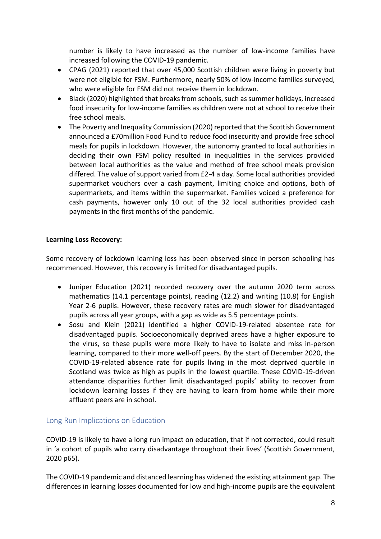number is likely to have increased as the number of low-income families have increased following the COVID-19 pandemic.

- CPAG (2021) reported that over 45,000 Scottish children were living in poverty but were not eligible for FSM. Furthermore, nearly 50% of low-income families surveyed, who were eligible for FSM did not receive them in lockdown.
- Black (2020) highlighted that breaks from schools, such as summer holidays, increased food insecurity for low-income families as children were not at school to receive their free school meals.
- The Poverty and Inequality Commission (2020) reported that the Scottish Government announced a £70million Food Fund to reduce food insecurity and provide free school meals for pupils in lockdown. However, the autonomy granted to local authorities in deciding their own FSM policy resulted in inequalities in the services provided between local authorities as the value and method of free school meals provision differed. The value of support varied from £2-4 a day. Some local authorities provided supermarket vouchers over a cash payment, limiting choice and options, both of supermarkets, and items within the supermarket. Families voiced a preference for cash payments, however only 10 out of the 32 local authorities provided cash payments in the first months of the pandemic.

#### **Learning Loss Recovery:**

Some recovery of lockdown learning loss has been observed since in person schooling has recommenced. However, this recovery is limited for disadvantaged pupils.

- Juniper Education (2021) recorded recovery over the autumn 2020 term across mathematics (14.1 percentage points), reading (12.2) and writing (10.8) for English Year 2-6 pupils. However, these recovery rates are much slower for disadvantaged pupils across all year groups, with a gap as wide as 5.5 percentage points.
- Sosu and Klein (2021) identified a higher COVID-19-related absentee rate for disadvantaged pupils. Socioeconomically deprived areas have a higher exposure to the virus, so these pupils were more likely to have to isolate and miss in-person learning, compared to their more well-off peers. By the start of December 2020, the COVID-19-related absence rate for pupils living in the most deprived quartile in Scotland was twice as high as pupils in the lowest quartile. These COVID-19-driven attendance disparities further limit disadvantaged pupils' ability to recover from lockdown learning losses if they are having to learn from home while their more affluent peers are in school.

#### <span id="page-7-0"></span>Long Run Implications on Education

COVID-19 is likely to have a long run impact on education, that if not corrected, could result in 'a cohort of pupils who carry disadvantage throughout their lives' (Scottish Government, 2020 p65).

The COVID-19 pandemic and distanced learning has widened the existing attainment gap. The differences in learning losses documented for low and high-income pupils are the equivalent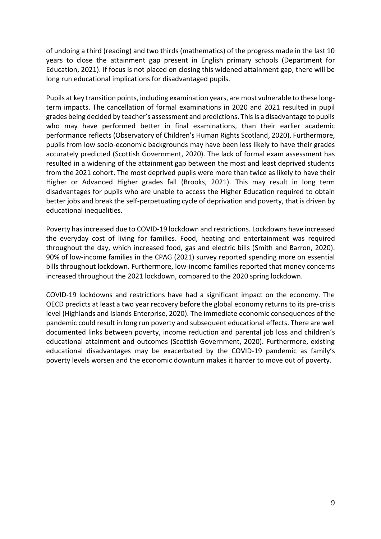of undoing a third (reading) and two thirds (mathematics) of the progress made in the last 10 years to close the attainment gap present in English primary schools (Department for Education, 2021). If focus is not placed on closing this widened attainment gap, there will be long run educational implications for disadvantaged pupils.

Pupils at key transition points, including examination years, are most vulnerable to these longterm impacts. The cancellation of formal examinations in 2020 and 2021 resulted in pupil grades being decided by teacher's assessment and predictions. This is a disadvantage to pupils who may have performed better in final examinations, than their earlier academic performance reflects (Observatory of Children's Human Rights Scotland, 2020). Furthermore, pupils from low socio-economic backgrounds may have been less likely to have their grades accurately predicted (Scottish Government, 2020). The lack of formal exam assessment has resulted in a widening of the attainment gap between the most and least deprived students from the 2021 cohort. The most deprived pupils were more than twice as likely to have their Higher or Advanced Higher grades fall (Brooks, 2021). This may result in long term disadvantages for pupils who are unable to access the Higher Education required to obtain better jobs and break the self-perpetuating cycle of deprivation and poverty, that is driven by educational inequalities.

Poverty has increased due to COVID-19 lockdown and restrictions. Lockdowns have increased the everyday cost of living for families. Food, heating and entertainment was required throughout the day, which increased food, gas and electric bills (Smith and Barron, 2020). 90% of low-income families in the CPAG (2021) survey reported spending more on essential bills throughout lockdown. Furthermore, low-income families reported that money concerns increased throughout the 2021 lockdown, compared to the 2020 spring lockdown.

COVID-19 lockdowns and restrictions have had a significant impact on the economy. The OECD predicts at least a two year recovery before the global economy returns to its pre-crisis level (Highlands and Islands Enterprise, 2020). The immediate economic consequences of the pandemic could result in long run poverty and subsequent educational effects. There are well documented links between poverty, income reduction and parental job loss and children's educational attainment and outcomes (Scottish Government, 2020). Furthermore, existing educational disadvantages may be exacerbated by the COVID-19 pandemic as family's poverty levels worsen and the economic downturn makes it harder to move out of poverty.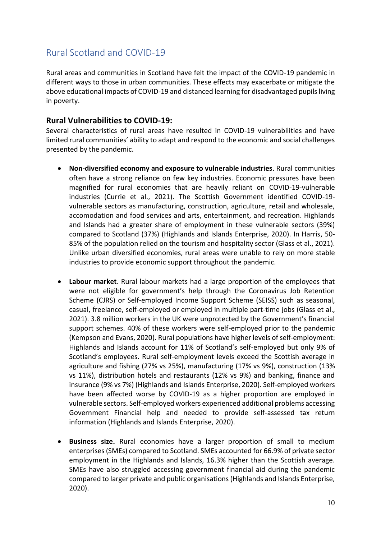# <span id="page-9-0"></span>Rural Scotland and COVID-19

Rural areas and communities in Scotland have felt the impact of the COVID-19 pandemic in different ways to those in urban communities. These effects may exacerbate or mitigate the above educational impacts of COVID-19 and distanced learning for disadvantaged pupils living in poverty.

### **Rural Vulnerabilities to COVID-19:**

Several characteristics of rural areas have resulted in COVID-19 vulnerabilities and have limited rural communities' ability to adapt and respond to the economic and social challenges presented by the pandemic.

- **Non-diversified economy and exposure to vulnerable industries**. Rural communities often have a strong reliance on few key industries. Economic pressures have been magnified for rural economies that are heavily reliant on COVID-19-vulnerable industries (Currie et al., 2021). The Scottish Government identified COVID-19 vulnerable sectors as manufacturing, construction, agriculture, retail and wholesale, accomodation and food services and arts, entertainment, and recreation. Highlands and Islands had a greater share of employment in these vulnerable sectors (39%) compared to Scotland (37%) (Highlands and Islands Enterprise, 2020). In Harris, 50- 85% of the population relied on the tourism and hospitality sector (Glass et al., 2021). Unlike urban diversified economies, rural areas were unable to rely on more stable industries to provide economic support throughout the pandemic.
- **Labour market**. Rural labour markets had a large proportion of the employees that were not eligible for government's help through the Coronavirus Job Retention Scheme (CJRS) or Self-employed Income Support Scheme (SEISS) such as seasonal, casual, freelance, self-employed or employed in multiple part-time jobs (Glass et al., 2021). 3.8 million workers in the UK were unprotected by the Government's financial support schemes. 40% of these workers were self-employed prior to the pandemic (Kempson and Evans, 2020). Rural populations have higher levels of self-employment: Highlands and Islands account for 11% of Scotland's self-employed but only 9% of Scotland's employees. Rural self-employment levels exceed the Scottish average in agriculture and fishing (27% vs 25%), manufacturing (17% vs 9%), construction (13% vs 11%), distribution hotels and restaurants (12% vs 9%) and banking, finance and insurance (9% vs 7%) (Highlands and Islands Enterprise, 2020). Self-employed workers have been affected worse by COVID-19 as a higher proportion are employed in vulnerable sectors. Self-employed workers experienced additional problems accessing Government Financial help and needed to provide self-assessed tax return information (Highlands and Islands Enterprise, 2020).
- **Business size.** Rural economies have a larger proportion of small to medium enterprises (SMEs) compared to Scotland. SMEs accounted for 66.9% of private sector employment in the Highlands and Islands, 16.3% higher than the Scottish average. SMEs have also struggled accessing government financial aid during the pandemic compared to larger private and public organisations (Highlands and Islands Enterprise, 2020).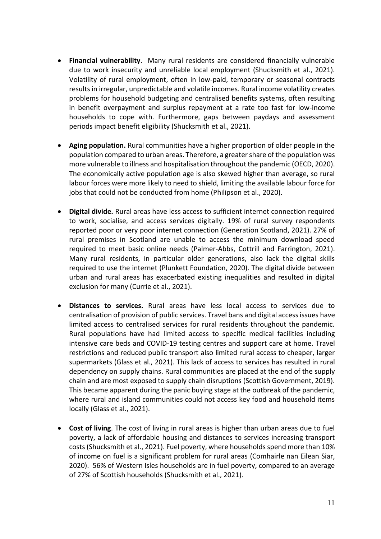- **Financial vulnerability**. Many rural residents are considered financially vulnerable due to work insecurity and unreliable local employment (Shucksmith et al., 2021). Volatility of rural employment, often in low-paid, temporary or seasonal contracts results in irregular, unpredictable and volatile incomes. Rural income volatility creates problems for household budgeting and centralised benefits systems, often resulting in benefit overpayment and surplus repayment at a rate too fast for low-income households to cope with. Furthermore, gaps between paydays and assessment periods impact benefit eligibility (Shucksmith et al., 2021).
- **Aging population.** Rural communities have a higher proportion of older people in the population compared to urban areas. Therefore, a greater share of the population was more vulnerable to illness and hospitalisation throughout the pandemic (OECD, 2020). The economically active population age is also skewed higher than average, so rural labour forces were more likely to need to shield, limiting the available labour force for jobs that could not be conducted from home (Philipson et al., 2020).
- **Digital divide.** Rural areas have less access to sufficient internet connection required to work, socialise, and access services digitally. 19% of rural survey respondents reported poor or very poor internet connection (Generation Scotland, 2021). 27% of rural premises in Scotland are unable to access the minimum download speed required to meet basic online needs (Palmer-Abbs, Cottrill and Farrington, 2021). Many rural residents, in particular older generations, also lack the digital skills required to use the internet (Plunkett Foundation, 2020). The digital divide between urban and rural areas has exacerbated existing inequalities and resulted in digital exclusion for many (Currie et al., 2021).
- **Distances to services.** Rural areas have less local access to services due to centralisation of provision of public services. Travel bans and digital access issues have limited access to centralised services for rural residents throughout the pandemic. Rural populations have had limited access to specific medical facilities including intensive care beds and COVID-19 testing centres and support care at home. Travel restrictions and reduced public transport also limited rural access to cheaper, larger supermarkets (Glass et al., 2021). This lack of access to services has resulted in rural dependency on supply chains. Rural communities are placed at the end of the supply chain and are most exposed to supply chain disruptions (Scottish Government, 2019). This became apparent during the panic buying stage at the outbreak of the pandemic, where rural and island communities could not access key food and household items locally (Glass et al., 2021).
- **Cost of living**. The cost of living in rural areas is higher than urban areas due to fuel poverty, a lack of affordable housing and distances to services increasing transport costs (Shucksmith et al., 2021). Fuel poverty, where households spend more than 10% of income on fuel is a significant problem for rural areas (Comhairle nan Eilean Siar, 2020). 56% of Western Isles households are in fuel poverty, compared to an average of 27% of Scottish households (Shucksmith et al., 2021).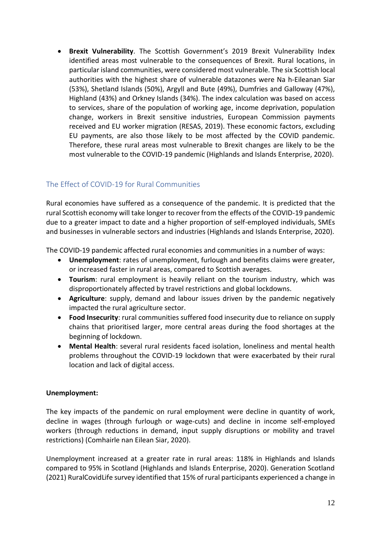• **Brexit Vulnerability**. The Scottish Government's 2019 Brexit Vulnerability Index identified areas most vulnerable to the consequences of Brexit. Rural locations, in particular island communities, were considered most vulnerable. The six Scottish local authorities with the highest share of vulnerable datazones were Na h-Eileanan Siar (53%), Shetland Islands (50%), Argyll and Bute (49%), Dumfries and Galloway (47%), Highland (43%) and Orkney Islands (34%). The index calculation was based on access to services, share of the population of working age, income deprivation, population change, workers in Brexit sensitive industries, European Commission payments received and EU worker migration (RESAS, 2019). These economic factors, excluding EU payments, are also those likely to be most affected by the COVID pandemic. Therefore, these rural areas most vulnerable to Brexit changes are likely to be the most vulnerable to the COVID-19 pandemic (Highlands and Islands Enterprise, 2020).

# <span id="page-11-0"></span>The Effect of COVID-19 for Rural Communities

Rural economies have suffered as a consequence of the pandemic. It is predicted that the rural Scottish economy will take longer to recover from the effects of the COVID-19 pandemic due to a greater impact to date and a higher proportion of self-employed individuals, SMEs and businesses in vulnerable sectors and industries (Highlands and Islands Enterprise, 2020).

The COVID-19 pandemic affected rural economies and communities in a number of ways:

- **Unemployment**: rates of unemployment, furlough and benefits claims were greater, or increased faster in rural areas, compared to Scottish averages.
- **Tourism**: rural employment is heavily reliant on the tourism industry, which was disproportionately affected by travel restrictions and global lockdowns.
- **Agriculture**: supply, demand and labour issues driven by the pandemic negatively impacted the rural agriculture sector.
- **Food Insecurity**: rural communities suffered food insecurity due to reliance on supply chains that prioritised larger, more central areas during the food shortages at the beginning of lockdown.
- **Mental Health**: several rural residents faced isolation, loneliness and mental health problems throughout the COVID-19 lockdown that were exacerbated by their rural location and lack of digital access.

#### **Unemployment:**

The key impacts of the pandemic on rural employment were decline in quantity of work, decline in wages (through furlough or wage-cuts) and decline in income self-employed workers (through reductions in demand, input supply disruptions or mobility and travel restrictions) (Comhairle nan Eilean Siar, 2020).

Unemployment increased at a greater rate in rural areas: 118% in Highlands and Islands compared to 95% in Scotland (Highlands and Islands Enterprise, 2020). Generation Scotland (2021) RuralCovidLife survey identified that 15% of rural participants experienced a change in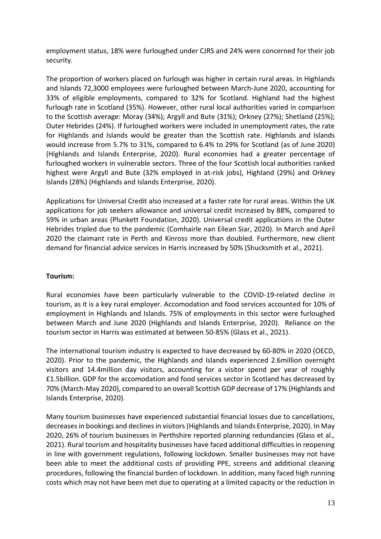employment status, 18% were furloughed under CJRS and 24% were concerned for their job security.

The proportion of workers placed on furlough was higher in certain rural areas. In Highlands and Islands 72,3000 employees were furloughed between March-June 2020, accounting for 33% of eligible employments, compared to 32% for Scotland. Highland had the highest furlough rate in Scotland (35%). However, other rural local authorities varied in comparison to the Scottish average: Moray (34%); Argyll and Bute (31%); Orkney (27%); Shetland (25%); Outer Hebrides (24%). If furloughed workers were included in unemployment rates, the rate for Highlands and Islands would be greater than the Scottish rate. Highlands and Islands would increase from 5.7% to 31%, compared to 6.4% to 29% for Scotland (as of June 2020) (Highlands and Islands Enterprise, 2020). Rural economies had a greater percentage of furloughed workers in vulnerable sectors. Three of the four Scottish local authorities ranked highest were Argyll and Bute (32% employed in at-risk jobs), Highland (29%) and Orkney Islands (28%) (Highlands and Islands Enterprise, 2020).

Applications for Universal Credit also increased at a faster rate for rural areas. Within the UK applications for job seekers allowance and universal credit increased by 88%, compared to 59% in urban areas (Plunkett Foundation, 2020). Universal credit applications in the Outer Hebrides tripled due to the pandemic (Comhairle nan Eilean Siar, 2020). In March and April 2020 the claimant rate in Perth and Kinross more than doubled. Furthermore, new client demand for financial advice services in Harris increased by 50% (Shucksmith et al., 2021).

#### **Tourism:**

Rural economies have been particularly vulnerable to the COVID-19-related decline in tourism, as it is a key rural employer. Accomodation and food services accounted for 10% of employment in Highlands and Islands. 75% of employments in this sector were furloughed between March and June 2020 (Highlands and Islands Enterprise, 2020). Reliance on the tourism sector in Harris was estimated at between 50-85% (Glass et al., 2021).

The international tourism industry is expected to have decreased by 60-80% in 2020 (OECD, 2020). Prior to the pandemic, the Highlands and Islands experienced 2.6million overnight visitors and 14.4million day visitors, accounting for a visitor spend per year of roughly £1.5billion. GDP for the accomodation and food services sector in Scotland has decreased by 70% (March-May 2020), compared to an overall Scottish GDP decrease of 17% (Highlands and Islands Enterprise, 2020).

Many tourism businesses have experienced substantial financial losses due to cancellations, decreases in bookings and declines in visitors (Highlands and Islands Enterprise, 2020). In May 2020, 26% of tourism businesses in Perthshire reported planning redundancies (Glass et al., 2021). Rural tourism and hospitality businesses have faced additional difficulties in reopening in line with government regulations, following lockdown. Smaller businesses may not have been able to meet the additional costs of providing PPE, screens and additional cleaning procedures, following the financial burden of lockdown. In addition, many faced high running costs which may not have been met due to operating at a limited capacity or the reduction in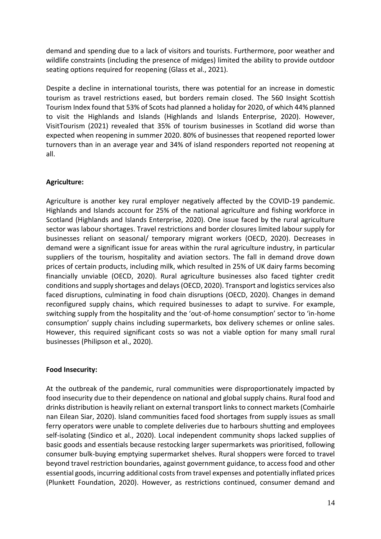demand and spending due to a lack of visitors and tourists. Furthermore, poor weather and wildlife constraints (including the presence of midges) limited the ability to provide outdoor seating options required for reopening (Glass et al., 2021).

Despite a decline in international tourists, there was potential for an increase in domestic tourism as travel restrictions eased, but borders remain closed. The 560 Insight Scottish Tourism Index found that 53% of Scots had planned a holiday for 2020, of which 44% planned to visit the Highlands and Islands (Highlands and Islands Enterprise, 2020). However, VisitTourism (2021) revealed that 35% of tourism businesses in Scotland did worse than expected when reopening in summer 2020. 80% of businesses that reopened reported lower turnovers than in an average year and 34% of island responders reported not reopening at all.

#### **Agriculture:**

Agriculture is another key rural employer negatively affected by the COVID-19 pandemic. Highlands and Islands account for 25% of the national agriculture and fishing workforce in Scotland (Highlands and Islands Enterprise, 2020). One issue faced by the rural agriculture sector was labour shortages. Travel restrictions and border closures limited labour supply for businesses reliant on seasonal/ temporary migrant workers (OECD, 2020). Decreases in demand were a significant issue for areas within the rural agriculture industry, in particular suppliers of the tourism, hospitality and aviation sectors. The fall in demand drove down prices of certain products, including milk, which resulted in 25% of UK dairy farms becoming financially unviable (OECD, 2020). Rural agriculture businesses also faced tighter credit conditions and supply shortages and delays (OECD, 2020). Transport and logistics services also faced disruptions, culminating in food chain disruptions (OECD, 2020). Changes in demand reconfigured supply chains, which required businesses to adapt to survive. For example, switching supply from the hospitality and the 'out-of-home consumption' sector to 'in-home consumption' supply chains including supermarkets, box delivery schemes or online sales. However, this required significant costs so was not a viable option for many small rural businesses (Philipson et al., 2020).

#### **Food Insecurity:**

At the outbreak of the pandemic, rural communities were disproportionately impacted by food insecurity due to their dependence on national and global supply chains. Rural food and drinks distribution is heavily reliant on external transport links to connect markets (Comhairle nan Eilean Siar, 2020). Island communities faced food shortages from supply issues as small ferry operators were unable to complete deliveries due to harbours shutting and employees self-isolating (Sindico et al., 2020). Local independent community shops lacked supplies of basic goods and essentials because restocking larger supermarkets was prioritised, following consumer bulk-buying emptying supermarket shelves. Rural shoppers were forced to travel beyond travel restriction boundaries, against government guidance, to access food and other essential goods, incurring additional costs from travel expenses and potentially inflated prices (Plunkett Foundation, 2020). However, as restrictions continued, consumer demand and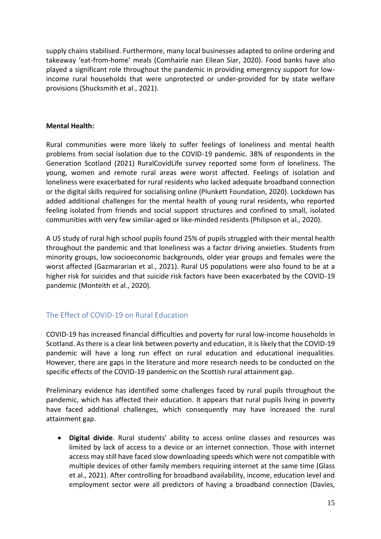supply chains stabilised. Furthermore, many local businesses adapted to online ordering and takeaway 'eat-from-home' meals (Comhairle nan Eilean Siar, 2020). Food banks have also played a significant role throughout the pandemic in providing emergency support for lowincome rural households that were unprotected or under-provided for by state welfare provisions (Shucksmith et al., 2021).

#### **Mental Health:**

Rural communities were more likely to suffer feelings of loneliness and mental health problems from social isolation due to the COVID-19 pandemic. 38% of respondents in the Generation Scotland (2021) RuralCovidLife survey reported some form of loneliness. The young, women and remote rural areas were worst affected. Feelings of isolation and loneliness were exacerbated for rural residents who lacked adequate broadband connection or the digital skills required for socialising online (Plunkett Foundation, 2020). Lockdown has added additional challenges for the mental health of young rural residents, who reported feeling isolated from friends and social support structures and confined to small, isolated communities with very few similar-aged or like-minded residents (Philipson et al., 2020).

A US study of rural high school pupils found 25% of pupils struggled with their mental health throughout the pandemic and that loneliness was a factor driving anxieties. Students from minority groups, low socioeconomic backgrounds, older year groups and females were the worst affected (Gazmararian et al., 2021). Rural US populations were also found to be at a higher risk for suicides and that suicide risk factors have been exacerbated by the COVID-19 pandemic (Monteith et al., 2020).

## <span id="page-14-0"></span>The Effect of COVID-19 on Rural Education

COVID-19 has increased financial difficulties and poverty for rural low-income households in Scotland. As there is a clear link between poverty and education, it is likely that the COVID-19 pandemic will have a long run effect on rural education and educational inequalities. However, there are gaps in the literature and more research needs to be conducted on the specific effects of the COVID-19 pandemic on the Scottish rural attainment gap.

Preliminary evidence has identified some challenges faced by rural pupils throughout the pandemic, which has affected their education. It appears that rural pupils living in poverty have faced additional challenges, which consequently may have increased the rural attainment gap.

• **Digital divide**. Rural students' ability to access online classes and resources was limited by lack of access to a device or an internet connection. Those with internet access may still have faced slow downloading speeds which were not compatible with multiple devices of other family members requiring internet at the same time (Glass et al., 2021). After controlling for broadband availability, income, education level and employment sector were all predictors of having a broadband connection (Davies,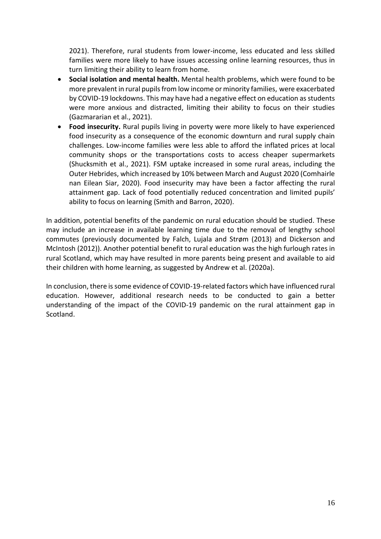2021). Therefore, rural students from lower-income, less educated and less skilled families were more likely to have issues accessing online learning resources, thus in turn limiting their ability to learn from home.

- **Social isolation and mental health.** Mental health problems, which were found to be more prevalent in rural pupils from low income or minority families, were exacerbated by COVID-19 lockdowns. This may have had a negative effect on education as students were more anxious and distracted, limiting their ability to focus on their studies (Gazmararian et al., 2021).
- **Food insecurity.** Rural pupils living in poverty were more likely to have experienced food insecurity as a consequence of the economic downturn and rural supply chain challenges. Low-income families were less able to afford the inflated prices at local community shops or the transportations costs to access cheaper supermarkets (Shucksmith et al., 2021). FSM uptake increased in some rural areas, including the Outer Hebrides, which increased by 10% between March and August 2020 (Comhairle nan Eilean Siar, 2020). Food insecurity may have been a factor affecting the rural attainment gap. Lack of food potentially reduced concentration and limited pupils' ability to focus on learning (Smith and Barron, 2020).

In addition, potential benefits of the pandemic on rural education should be studied. These may include an increase in available learning time due to the removal of lengthy school commutes (previously documented by Falch, Lujala and Strøm (2013) and Dickerson and McIntosh (2012)). Another potential benefit to rural education was the high furlough rates in rural Scotland, which may have resulted in more parents being present and available to aid their children with home learning, as suggested by Andrew et al. (2020a).

In conclusion, there is some evidence of COVID-19-related factors which have influenced rural education. However, additional research needs to be conducted to gain a better understanding of the impact of the COVID-19 pandemic on the rural attainment gap in Scotland.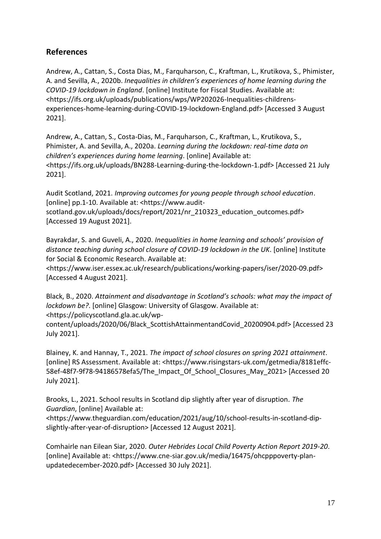# **References**

Andrew, A., Cattan, S., Costa Dias, M., Farquharson, C., Kraftman, L., Krutikova, S., Phimister, A. and Sevilla, A., 2020b. *Inequalities in children's experiences of home learning during the COVID-19 lockdown in England*. [online] Institute for Fiscal Studies. Available at: <https://ifs.org.uk/uploads/publications/wps/WP202026-Inequalities-childrensexperiences-home-learning-during-COVID-19-lockdown-England.pdf> [Accessed 3 August 2021].

Andrew, A., Cattan, S., Costa-Dias, M., Farquharson, C., Kraftman, L., Krutikova, S., Phimister, A. and Sevilla, A., 2020a. *Learning during the lockdown: real-time data on children's experiences during home learning*. [online] Available at: <https://ifs.org.uk/uploads/BN288-Learning-during-the-lockdown-1.pdf> [Accessed 21 July 2021].

Audit Scotland, 2021. *Improving outcomes for young people through school education*. [online] pp.1-10. Available at: <https://www.auditscotland.gov.uk/uploads/docs/report/2021/nr\_210323\_education\_outcomes.pdf> [Accessed 19 August 2021].

Bayrakdar, S. and Guveli, A., 2020. *Inequalities in home learning and schools' provision of distance teaching during school closure of COVID-19 lockdown in the UK*. [online] Institute for Social & Economic Research. Available at:

<https://www.iser.essex.ac.uk/research/publications/working-papers/iser/2020-09.pdf> [Accessed 4 August 2021].

Black, B., 2020. *Attainment and disadvantage in Scotland's schools: what may the impact of lockdown be?*. [online] Glasgow: University of Glasgow. Available at:

<https://policyscotland.gla.ac.uk/wp-

content/uploads/2020/06/Black\_ScottishAttainmentandCovid\_20200904.pdf> [Accessed 23 July 2021].

Blainey, K. and Hannay, T., 2021. *The impact of school closures on spring 2021 attainment*. [online] RS Assessment. Available at: <https://www.risingstars-uk.com/getmedia/8181effc-58ef-48f7-9f78-94186578efa5/The\_Impact\_Of\_School\_Closures\_May\_2021> [Accessed 20 July 2021].

Brooks, L., 2021. School results in Scotland dip slightly after year of disruption. *The Guardian*, [online] Available at:

<https://www.theguardian.com/education/2021/aug/10/school-results-in-scotland-dipslightly-after-year-of-disruption> [Accessed 12 August 2021].

Comhairle nan Eilean Siar, 2020. *Outer Hebrides Local Child Poverty Action Report 2019-20*. [online] Available at: <https://www.cne-siar.gov.uk/media/16475/ohcpppoverty-planupdatedecember-2020.pdf> [Accessed 30 July 2021].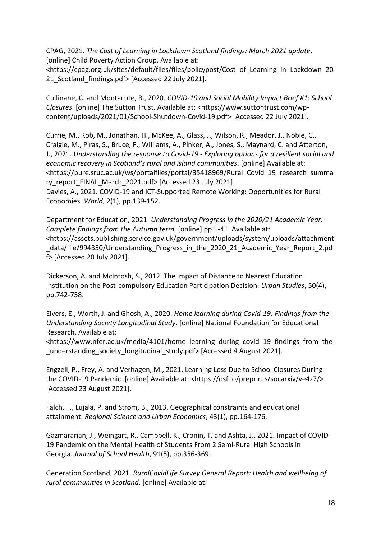CPAG, 2021. *The Cost of Learning in Lockdown Scotland findings: March 2021 update*. [online] Child Poverty Action Group. Available at:

<https://cpag.org.uk/sites/default/files/files/policypost/Cost\_of\_Learning\_in\_Lockdown\_20 21 Scotland findings.pdf> [Accessed 22 July 2021].

Cullinane, C. and Montacute, R., 2020. *COVID-19 and Social Mobility Impact Brief #1: School Closures*. [online] The Sutton Trust. Available at: <https://www.suttontrust.com/wpcontent/uploads/2021/01/School-Shutdown-Covid-19.pdf> [Accessed 22 July 2021].

Currie, M., Rob, M., Jonathan, H., McKee, A., Glass, J., Wilson, R., Meador, J., Noble, C., Craigie, M., Piras, S., Bruce, F., Williams, A., Pinker, A., Jones, S., Maynard, C. and Atterton, J., 2021. *Understanding the response to Covid-19 - Exploring options for a resilient social and economic recovery in Scotland's rural and island communities*. [online] Available at: <https://pure.sruc.ac.uk/ws/portalfiles/portal/35418969/Rural\_Covid\_19\_research\_summa ry\_report\_FINAL\_March\_2021.pdf> [Accessed 23 July 2021].

Davies, A., 2021. COVID-19 and ICT-Supported Remote Working: Opportunities for Rural Economies. *World*, 2(1), pp.139-152.

Department for Education, 2021. *Understanding Progress in the 2020/21 Academic Year: Complete findings from the Autumn term*. [online] pp.1-41. Available at: <https://assets.publishing.service.gov.uk/government/uploads/system/uploads/attachment \_data/file/994350/Understanding\_Progress\_in\_the\_2020\_21\_Academic\_Year\_Report\_2.pd f> [Accessed 20 July 2021].

Dickerson, A. and McIntosh, S., 2012. The Impact of Distance to Nearest Education Institution on the Post-compulsory Education Participation Decision. *Urban Studies*, 50(4), pp.742-758.

Eivers, E., Worth, J. and Ghosh, A., 2020. *Home learning during Covid-19: Findings from the Understanding Society Longitudinal Study*. [online] National Foundation for Educational Research. Available at:

<https://www.nfer.ac.uk/media/4101/home\_learning\_during\_covid\_19\_findings\_from\_the \_understanding\_society\_longitudinal\_study.pdf> [Accessed 4 August 2021].

Engzell, P., Frey, A. and Verhagen, M., 2021. Learning Loss Due to School Closures During the COVID-19 Pandemic. [online] Available at: <https://osf.io/preprints/socarxiv/ve4z7/> [Accessed 23 August 2021].

Falch, T., Lujala, P. and Strøm, B., 2013. Geographical constraints and educational attainment. *Regional Science and Urban Economics*, 43(1), pp.164-176.

Gazmararian, J., Weingart, R., Campbell, K., Cronin, T. and Ashta, J., 2021. Impact of COVID-19 Pandemic on the Mental Health of Students From 2 Semi-Rural High Schools in Georgia. *Journal of School Health*, 91(5), pp.356-369.

Generation Scotland, 2021. *RuralCovidLife Survey General Report: Health and wellbeing of rural communities in Scotland*. [online] Available at: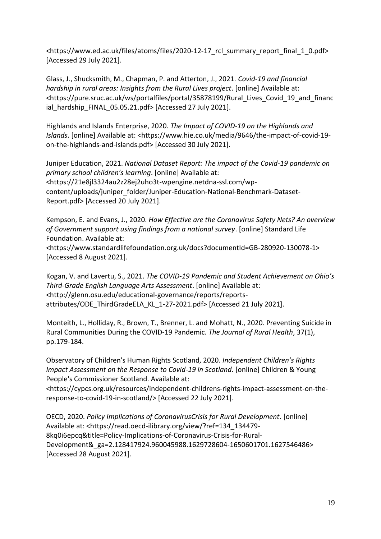<https://www.ed.ac.uk/files/atoms/files/2020-12-17\_rcl\_summary\_report\_final\_1\_0.pdf> [Accessed 29 July 2021].

Glass, J., Shucksmith, M., Chapman, P. and Atterton, J., 2021. *Covid-19 and financial hardship in rural areas: Insights from the Rural Lives project*. [online] Available at: <https://pure.sruc.ac.uk/ws/portalfiles/portal/35878199/Rural\_Lives\_Covid\_19\_and\_financ ial\_hardship\_FINAL\_05.05.21.pdf> [Accessed 27 July 2021].

Highlands and Islands Enterprise, 2020. *The Impact of COVID-19 on the Highlands and Islands*. [online] Available at: <https://www.hie.co.uk/media/9646/the-impact-of-covid-19 on-the-highlands-and-islands.pdf> [Accessed 30 July 2021].

Juniper Education, 2021. *National Dataset Report: The impact of the Covid-19 pandemic on primary school children's learning*. [online] Available at: <https://21e8jl3324au2z28ej2uho3t-wpengine.netdna-ssl.com/wpcontent/uploads/juniper\_folder/Juniper-Education-National-Benchmark-Dataset-Report.pdf> [Accessed 20 July 2021].

Kempson, E. and Evans, J., 2020. *How Effective are the Coronavirus Safety Nets? An overview of Government support using findings from a national survey*. [online] Standard Life Foundation. Available at:

<https://www.standardlifefoundation.org.uk/docs?documentId=GB-280920-130078-1> [Accessed 8 August 2021].

Kogan, V. and Lavertu, S., 2021. *The COVID-19 Pandemic and Student Achievement on Ohio's Third-Grade English Language Arts Assessment*. [online] Available at: <http://glenn.osu.edu/educational-governance/reports/reportsattributes/ODE\_ThirdGradeELA\_KL\_1-27-2021.pdf> [Accessed 21 July 2021].

Monteith, L., Holliday, R., Brown, T., Brenner, L. and Mohatt, N., 2020. Preventing Suicide in Rural Communities During the COVID‐19 Pandemic. *The Journal of Rural Health*, 37(1), pp.179-184.

Observatory of Children's Human Rights Scotland, 2020. *Independent Children's Rights Impact Assessment on the Response to Covid-19 in Scotland*. [online] Children & Young People's Commissioner Scotland. Available at:

<https://cypcs.org.uk/resources/independent-childrens-rights-impact-assessment-on-theresponse-to-covid-19-in-scotland/> [Accessed 22 July 2021].

OECD, 2020. *Policy Implications of CoronavirusCrisis for Rural Development*. [online] Available at: <https://read.oecd-ilibrary.org/view/?ref=134\_134479- 8kq0i6epcq&title=Policy-Implications-of-Coronavirus-Crisis-for-Rural-Development&\_ga=2.128417924.960045988.1629728604-1650601701.1627546486> [Accessed 28 August 2021].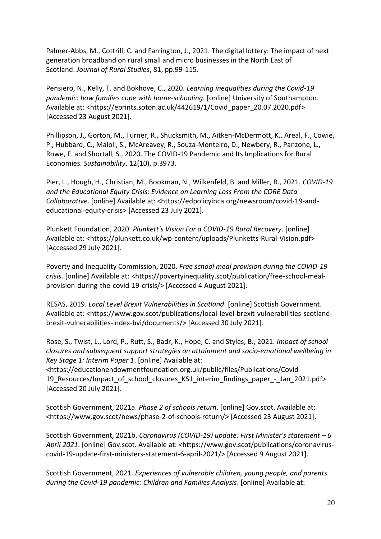Palmer-Abbs, M., Cottrill, C. and Farrington, J., 2021. The digital lottery: The impact of next generation broadband on rural small and micro businesses in the North East of Scotland. *Journal of Rural Studies*, 81, pp.99-115.

Pensiero, N., Kelly, T. and Bokhove, C., 2020. *Learning inequalities during the Covid-19 pandemic: how families cope with home-schooling*. [online] University of Southampton. Available at: <https://eprints.soton.ac.uk/442619/1/Covid\_paper\_20.07.2020.pdf> [Accessed 23 August 2021].

Phillipson, J., Gorton, M., Turner, R., Shucksmith, M., Aitken-McDermott, K., Areal, F., Cowie, P., Hubbard, C., Maioli, S., McAreavey, R., Souza-Monteiro, D., Newbery, R., Panzone, L., Rowe, F. and Shortall, S., 2020. The COVID-19 Pandemic and Its Implications for Rural Economies. *Sustainability*, 12(10), p.3973.

Pier, L., Hough, H., Christian, M., Bookman, N., Wilkenfeld, B. and Miller, R., 2021. *COVID-19 and the Educational Equity Crisis: Evidence on Learning Loss From the CORE Data Collaborative*. [online] Available at: <https://edpolicyinca.org/newsroom/covid-19-andeducational-equity-crisis> [Accessed 23 July 2021].

Plunkett Foundation, 2020. *Plunkett's Vision For a COVID-19 Rural Recovery*. [online] Available at: <https://plunkett.co.uk/wp-content/uploads/Plunketts-Rural-Vision.pdf> [Accessed 29 July 2021].

Poverty and Inequality Commission, 2020. *Free school meal provision during the COVID-19 crisis*. [online] Available at: <https://povertyinequality.scot/publication/free-school-mealprovision-during-the-covid-19-crisis/> [Accessed 4 August 2021].

RESAS, 2019. *Local Level Brexit Vulnerabilities in Scotland*. [online] Scottish Government. Available at: <https://www.gov.scot/publications/local-level-brexit-vulnerabilities-scotlandbrexit-vulnerabilities-index-bvi/documents/> [Accessed 30 July 2021].

Rose, S., Twist, L., Lord, P., Rutt, S., Badr, K., Hope, C. and Styles, B., 2021. *Impact of school closures and subsequent support strategies on attainment and socio-emotional wellbeing in Key Stage 1: Interim Paper 1*. [online] Available at:

<https://educationendowmentfoundation.org.uk/public/files/Publications/Covid-19\_Resources/Impact\_of\_school\_closures\_KS1\_interim\_findings\_paper\_-\_Jan\_2021.pdf> [Accessed 20 July 2021].

Scottish Government, 2021a. *Phase 2 of schools return*. [online] Gov.scot. Available at: <https://www.gov.scot/news/phase-2-of-schools-return/> [Accessed 23 August 2021].

Scottish Government, 2021b. *Coronavirus (COVID-19) update: First Minister's statement – 6 April 2021*. [online] Gov.scot. Available at: <https://www.gov.scot/publications/coronaviruscovid-19-update-first-ministers-statement-6-april-2021/> [Accessed 9 August 2021].

Scottish Government, 2021. *Experiences of vulnerable children, young people, and parents during the Covid-19 pandemic: Children and Families Analysis*. [online] Available at: